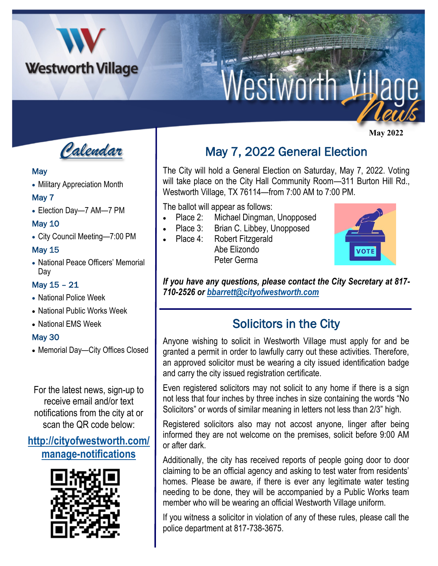

# **Nestworth V**

 **May 2022**



#### **May**

• Military Appreciation Month

## May 7

• Election Day—7 AM—7 PM

### May 10

• City Council Meeting—7:00 PM

### May 15

• National Peace Officers' Memorial Day

## May 15 – 21

- National Police Week
- National Public Works Week
- National EMS Week

## May 30

• Memorial Day—City Offices Closed

For the latest news, sign-up to receive email and/or text notifications from the city at or scan the QR code below:

## **[http://cityofwestworth.com/](http://cityofwestworth.com/manage-notifications) [manage-notifications](http://cityofwestworth.com/manage-notifications)**



# May 7, 2022 General Election

The City will hold a General Election on Saturday, May 7, 2022. Voting will take place on the City Hall Community Room-311 Burton Hill Rd., Westworth Village, TX 76114—from 7:00 AM to 7:00 PM.

The ballot will appear as follows:

- Place 2: Michael Dingman, Unopposed
- Place 3: Brian C. Libbey, Unopposed
- Place 4: Robert Fitzgerald Abe Elizondo Peter Germa



*If you have any questions, please contact the City Secretary at 817- 710-2526 or [bbarrett@cityofwestworth.com](mailto:bbarrett@cityofwestworth.com)*

## Solicitors in the City

Anyone wishing to solicit in Westworth Village must apply for and be granted a permit in order to lawfully carry out these activities. Therefore, an approved solicitor must be wearing a city issued identification badge and carry the city issued registration certificate.

Even registered solicitors may not solicit to any home if there is a sign not less that four inches by three inches in size containing the words "No Solicitors" or words of similar meaning in letters not less than 2/3" high.

Registered solicitors also may not accost anyone, linger after being informed they are not welcome on the premises, solicit before 9:00 AM or after dark.

Additionally, the city has received reports of people going door to door claiming to be an official agency and asking to test water from residents' homes. Please be aware, if there is ever any legitimate water testing needing to be done, they will be accompanied by a Public Works team member who will be wearing an official Westworth Village uniform.

If you witness a solicitor in violation of any of these rules, please call the police department at 817-738-3675.